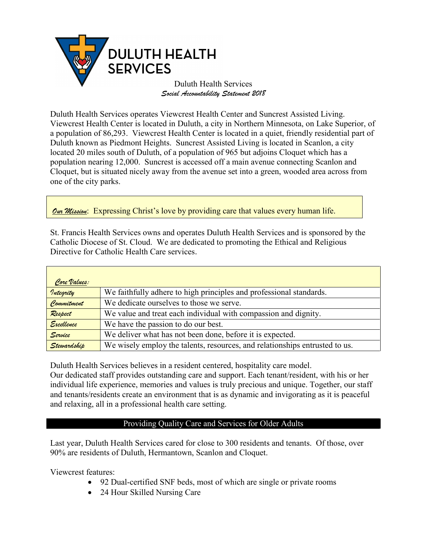

Duluth Health Services *Social Accountability Statement 2018*

Duluth Health Services operates Viewcrest Health Center and Suncrest Assisted Living. Viewcrest Health Center is located in Duluth, a city in Northern Minnesota, on Lake Superior, of a population of 86,293. Viewcrest Health Center is located in a quiet, friendly residential part of Duluth known as Piedmont Heights. Suncrest Assisted Living is located in Scanlon, a city located 20 miles south of Duluth, of a population of 965 but adjoins Cloquet which has a population nearing 12,000. Suncrest is accessed off a main avenue connecting Scanlon and Cloquet, but is situated nicely away from the avenue set into a green, wooded area across from one of the city parks.

*Our Mission*: Expressing Christ's love by providing care that values every human life.

St. Francis Health Services owns and operates Duluth Health Services and is sponsored by the Catholic Diocese of St. Cloud. We are dedicated to promoting the Ethical and Religious Directive for Catholic Health Care services.

| Core Values: |                                                                             |
|--------------|-----------------------------------------------------------------------------|
| Integrity    | We faithfully adhere to high principles and professional standards.         |
| Commitment   | We dedicate ourselves to those we serve.                                    |
| Respect      | We value and treat each individual with compassion and dignity.             |
| Excellence   | We have the passion to do our best.                                         |
| Service      | We deliver what has not been done, before it is expected.                   |
| Stewardship  | We wisely employ the talents, resources, and relationships entrusted to us. |

Duluth Health Services believes in a resident centered, hospitality care model.

Our dedicated staff provides outstanding care and support. Each tenant/resident, with his or her individual life experience, memories and values is truly precious and unique. Together, our staff and tenants/residents create an environment that is as dynamic and invigorating as it is peaceful and relaxing, all in a professional health care setting.

# Providing Quality Care and Services for Older Adults

Last year, Duluth Health Services cared for close to 300 residents and tenants. Of those, over 90% are residents of Duluth, Hermantown, Scanlon and Cloquet.

Viewcrest features:

- 92 Dual-certified SNF beds, most of which are single or private rooms
- 24 Hour Skilled Nursing Care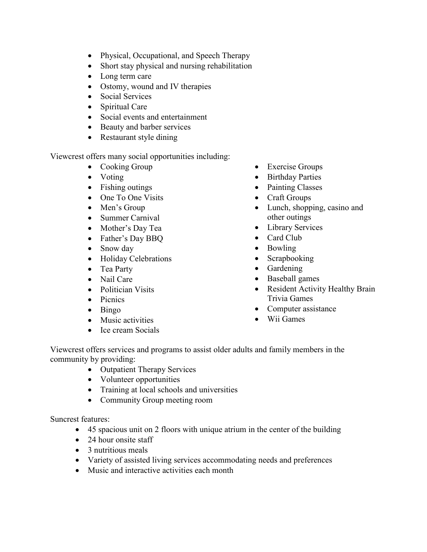- Physical, Occupational, and Speech Therapy
- Short stay physical and nursing rehabilitation
- Long term care
- Ostomy, wound and IV therapies
- Social Services
- Spiritual Care
- Social events and entertainment
- Beauty and barber services
- Restaurant style dining

Viewcrest offers many social opportunities including:

- Cooking Group
- Voting
- Fishing outings
- One To One Visits
- Men's Group
- Summer Carnival
- Mother's Day Tea
- Father's Day BBQ
- Snow day
- Holiday Celebrations
- Tea Party
- Nail Care
- Politician Visits
- Picnics
- Bingo
- Music activities
- Ice cream Socials
- Exercise Groups
- Birthday Parties
- Painting Classes
- Craft Groups
- Lunch, shopping, casino and other outings
- Library Services
- Card Club
- Bowling
- Scrapbooking
- Gardening
- Baseball games
- Resident Activity Healthy Brain Trivia Games
- Computer assistance
- Wii Games

Viewcrest offers services and programs to assist older adults and family members in the community by providing:

- Outpatient Therapy Services
- Volunteer opportunities
- Training at local schools and universities
- Community Group meeting room

Suncrest features:

- 45 spacious unit on 2 floors with unique atrium in the center of the building
- 24 hour onsite staff
- 3 nutritious meals
- Variety of assisted living services accommodating needs and preferences
- Music and interactive activities each month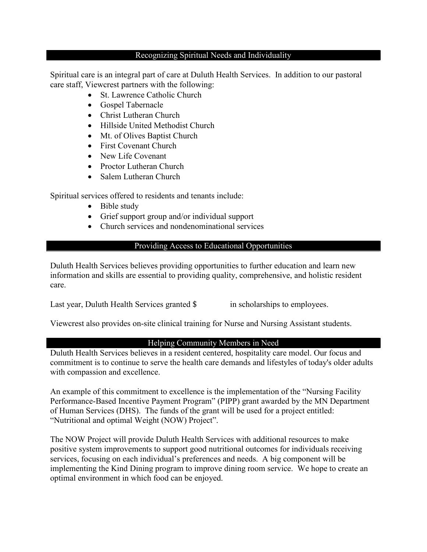#### Recognizing Spiritual Needs and Individuality

Spiritual care is an integral part of care at Duluth Health Services. In addition to our pastoral care staff, Viewcrest partners with the following:

- St. Lawrence Catholic Church
- Gospel Tabernacle
- Christ Lutheran Church
- Hillside United Methodist Church
- Mt. of Olives Baptist Church
- First Covenant Church
- New Life Covenant
- Proctor Lutheran Church
- Salem Lutheran Church

Spiritual services offered to residents and tenants include:

- Bible study
- Grief support group and/or individual support
- Church services and nondenominational services

## Providing Access to Educational Opportunities

Duluth Health Services believes providing opportunities to further education and learn new information and skills are essential to providing quality, comprehensive, and holistic resident care.

Last year, Duluth Health Services granted  $\frac{1}{2}$  in scholarships to employees.

Viewcrest also provides on-site clinical training for Nurse and Nursing Assistant students.

## Helping Community Members in Need

Duluth Health Services believes in a resident centered, hospitality care model. Our focus and commitment is to continue to serve the health care demands and lifestyles of today's older adults with compassion and excellence.

An example of this commitment to excellence is the implementation of the "Nursing Facility Performance-Based Incentive Payment Program" (PIPP) grant awarded by the MN Department of Human Services (DHS). The funds of the grant will be used for a project entitled: "Nutritional and optimal Weight (NOW) Project".

The NOW Project will provide Duluth Health Services with additional resources to make positive system improvements to support good nutritional outcomes for individuals receiving services, focusing on each individual's preferences and needs. A big component will be implementing the Kind Dining program to improve dining room service. We hope to create an optimal environment in which food can be enjoyed.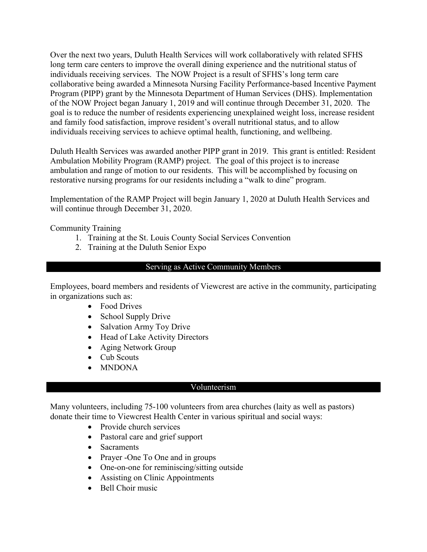Over the next two years, Duluth Health Services will work collaboratively with related SFHS long term care centers to improve the overall dining experience and the nutritional status of individuals receiving services. The NOW Project is a result of SFHS's long term care collaborative being awarded a Minnesota Nursing Facility Performance-based Incentive Payment Program (PIPP) grant by the Minnesota Department of Human Services (DHS). Implementation of the NOW Project began January 1, 2019 and will continue through December 31, 2020. The goal is to reduce the number of residents experiencing unexplained weight loss, increase resident and family food satisfaction, improve resident's overall nutritional status, and to allow individuals receiving services to achieve optimal health, functioning, and wellbeing.

Duluth Health Services was awarded another PIPP grant in 2019. This grant is entitled: Resident Ambulation Mobility Program (RAMP) project. The goal of this project is to increase ambulation and range of motion to our residents. This will be accomplished by focusing on restorative nursing programs for our residents including a "walk to dine" program.

Implementation of the RAMP Project will begin January 1, 2020 at Duluth Health Services and will continue through December 31, 2020.

Community Training

- 1. Training at the St. Louis County Social Services Convention
- 2. Training at the Duluth Senior Expo

### Serving as Active Community Members

Employees, board members and residents of Viewcrest are active in the community, participating in organizations such as:

- Food Drives
- School Supply Drive
- Salvation Army Toy Drive
- Head of Lake Activity Directors
- Aging Network Group
- Cub Scouts
- MNDONA

### Volunteerism

Many volunteers, including 75-100 volunteers from area churches (laity as well as pastors) donate their time to Viewcrest Health Center in various spiritual and social ways:

- Provide church services
- Pastoral care and grief support
- Sacraments
- Prayer -One To One and in groups
- One-on-one for reminiscing/sitting outside
- Assisting on Clinic Appointments
- Bell Choir music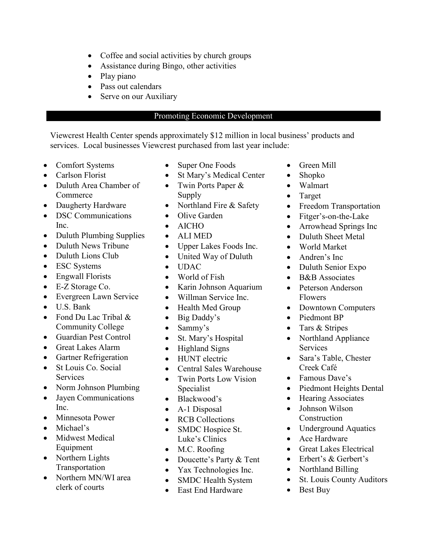- Coffee and social activities by church groups
- Assistance during Bingo, other activities
- Play piano
- Pass out calendars
- Serve on our Auxiliary

### Promoting Economic Development

Viewcrest Health Center spends approximately \$12 million in local business' products and services. Local businesses Viewcrest purchased from last year include:

- Comfort Systems
- Carlson Florist
- Duluth Area Chamber of Commerce
- Daugherty Hardware
- DSC Communications Inc.
- Duluth Plumbing Supplies
- Duluth News Tribune
- Duluth Lions Club
- ESC Systems
- Engwall Florists
- E-Z Storage Co.
- Evergreen Lawn Service
- U.S. Bank
- Fond Du Lac Tribal & Community College
- Guardian Pest Control
- Great Lakes Alarm
- Gartner Refrigeration
- St Louis Co. Social **Services**
- Norm Johnson Plumbing
- Jayen Communications Inc.
- Minnesota Power
- Michael's
- Midwest Medical Equipment
- Northern Lights Transportation
- Northern MN/WI area clerk of courts
- Super One Foods
- St Mary's Medical Center
- Twin Ports Paper & Supply
- Northland Fire & Safety
- Olive Garden
- AICHO
- ALI MED
- Upper Lakes Foods Inc.
- United Way of Duluth
- UDAC
- World of Fish
- Karin Johnson Aquarium
- Willman Service Inc.
- Health Med Group
- Big Daddy's
- Sammy's
- St. Mary's Hospital
- Highland Signs
- HUNT electric
- Central Sales Warehouse
- Twin Ports Low Vision Specialist
- Blackwood's
- A-1 Disposal
- RCB Collections
- SMDC Hospice St. Luke's Clinics
- M.C. Roofing
- Doucette's Party & Tent
- Yax Technologies Inc.
- SMDC Health System
- East End Hardware
- Green Mill
- Shopko
- Walmart
- Target
- Freedom Transportation
- Fitger's-on-the-Lake
- Arrowhead Springs Inc
- Duluth Sheet Metal
- World Market
- Andren's Inc
- Duluth Senior Expo
- B&B Associates
- Peterson Anderson Flowers
- Downtown Computers
- Piedmont BP
- Tars & Stripes
- Northland Appliance **Services**
- Sara's Table, Chester Creek Café
- Famous Dave's
- Piedmont Heights Dental
- Hearing Associates
- Johnson Wilson Construction
- Underground Aquatics
- Ace Hardware
- Great Lakes Electrical
- Erbert's & Gerbert's
- Northland Billing
- St. Louis County Auditors
- Best Buy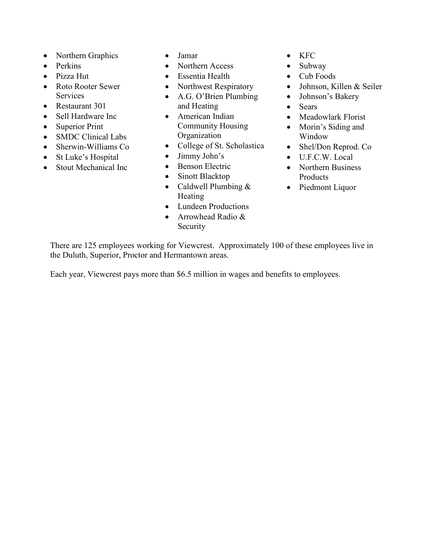- Northern Graphics
- Perkins
- Pizza Hut
- Roto Rooter Sewer **Services**
- Restaurant 301
- Sell Hardware Inc
- Superior Print
- SMDC Clinical Labs
- Sherwin-Williams Co
- St Luke's Hospital
- Stout Mechanical Inc
- Jamar
- Northern Access
- Essentia Health
- Northwest Respiratory
- A.G. O'Brien Plumbing and Heating
- American Indian Community Housing Organization
- College of St. Scholastica
- Jimmy John's
- Benson Electric
- Sinott Blacktop
- Caldwell Plumbing & Heating
- Lundeen Productions
- Arrowhead Radio & Security
- KFC
- Subway
- Cub Foods
- Johnson, Killen & Seiler
- Johnson's Bakery
- Sears
- Meadowlark Florist
- Morin's Siding and Window
- Shel/Don Reprod. Co
- U.F.C.W. Local
- Northern Business Products
- Piedmont Liquor

There are 125 employees working for Viewcrest. Approximately 100 of these employees live in the Duluth, Superior, Proctor and Hermantown areas.

Each year, Viewcrest pays more than \$6.5 million in wages and benefits to employees.